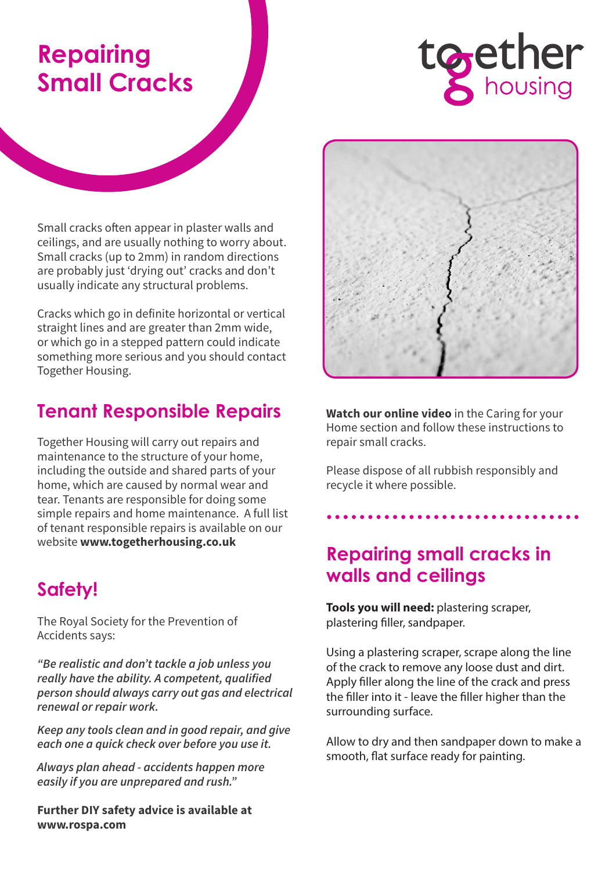# **Repairing Small Cracks**



Small cracks often appear in plaster walls and ceilings, and are usually nothing to worry about. Small cracks (up to 2mm) in random directions are probably just 'drying out' cracks and don't usually indicate any structural problems.

Cracks which go in definite horizontal or vertical straight lines and are greater than 2mm wide, or which go in a stepped pattern could indicate something more serious and you should contact Together Housing.

# **Tenant Responsible Repairs**

Together Housing will carry out repairs and maintenance to the structure of your home, including the outside and shared parts of your home, which are caused by normal wear and tear. Tenants are responsible for doing some simple repairs and home maintenance. A full list of tenant responsible repairs is available on our website **www.togetherhousing.co.uk**

# **Safety!**

The Royal Society for the Prevention of Accidents says:

*"Be realistic and don't tackle a job unless you really have the ability. A competent, qualified person should always carry out gas and electrical renewal or repair work.*

*Keep any tools clean and in good repair, and give each one a quick check over before you use it.*

*Always plan ahead - accidents happen more easily if you are unprepared and rush."*

**Further DIY safety advice is available at www.rospa.com**



**Watch our online video** in the Caring for your Home section and follow these instructions to repair small cracks.

Please dispose of all rubbish responsibly and recycle it where possible.

### **Repairing small cracks in walls and ceilings**

**Tools you will need:** plastering scraper, plastering filler, sandpaper.

Using a plastering scraper, scrape along the line of the crack to remove any loose dust and dirt. Apply filler along the line of the crack and press the filler into it - leave the filler higher than the surrounding surface.

Allow to dry and then sandpaper down to make a smooth, flat surface ready for painting.